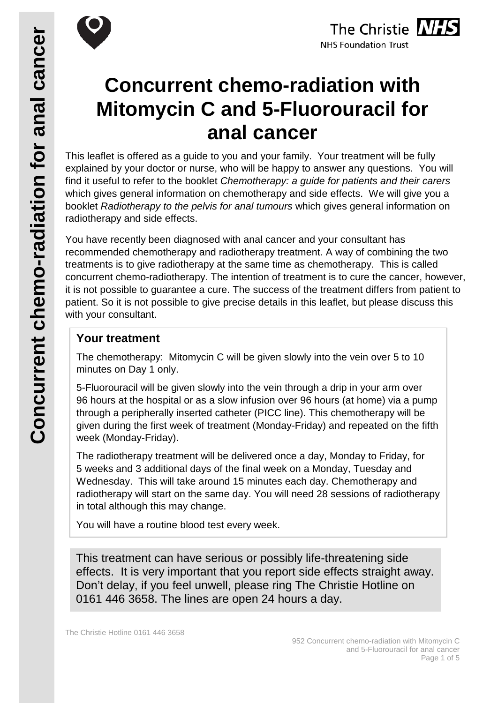



# **Concurrent chemo-radiation with Mitomycin C and 5-Fluorouracil for anal cancer**

This leaflet is offered as a guide to you and your family. Your treatment will be fully explained by your doctor or nurse, who will be happy to answer any questions. You will find it useful to refer to the booklet *Chemotherapy: a guide for patients and their carers* which gives general information on chemotherapy and side effects. We will give you a booklet *Radiotherapy to the pelvis for anal tumours* which gives general information on radiotherapy and side effects.

You have recently been diagnosed with anal cancer and your consultant has recommended chemotherapy and radiotherapy treatment. A way of combining the two treatments is to give radiotherapy at the same time as chemotherapy. This is called concurrent chemo-radiotherapy. The intention of treatment is to cure the cancer, however, it is not possible to guarantee a cure. The success of the treatment differs from patient to patient. So it is not possible to give precise details in this leaflet, but please discuss this with your consultant.

## **Your treatment**

The chemotherapy: Mitomycin C will be given slowly into the vein over 5 to 10 minutes on Day 1 only.

5-Fluorouracil will be given slowly into the vein through a drip in your arm over 96 hours at the hospital or as a slow infusion over 96 hours (at home) via a pump through a peripherally inserted catheter (PICC line). This chemotherapy will be given during the first week of treatment (Monday-Friday) and repeated on the fifth week (Monday-Friday).

The radiotherapy treatment will be delivered once a day, Monday to Friday, for 5 weeks and 3 additional days of the final week on a Monday, Tuesday and Wednesday. This will take around 15 minutes each day. Chemotherapy and radiotherapy will start on the same day. You will need 28 sessions of radiotherapy in total although this may change.

You will have a routine blood test every week.

This treatment can have serious or possibly life-threatening side effects. It is very important that you report side effects straight away. Don't delay, if you feel unwell, please ring The Christie Hotline on 0161 446 3658. The lines are open 24 hours a day.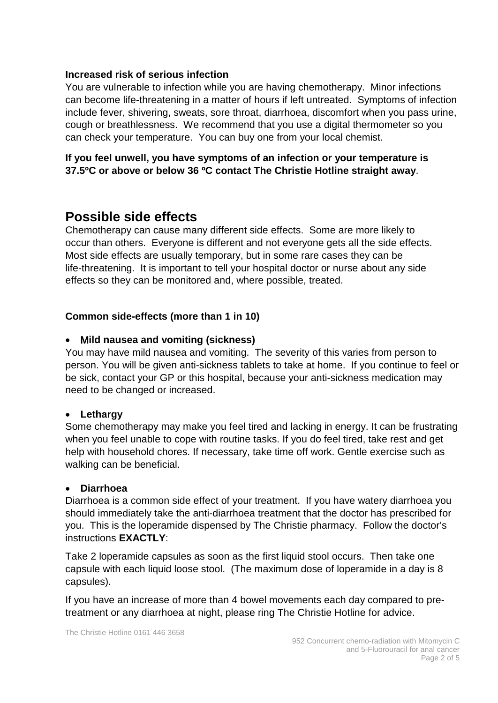#### **Increased risk of serious infection**

You are vulnerable to infection while you are having chemotherapy. Minor infections can become life-threatening in a matter of hours if left untreated. Symptoms of infection include fever, shivering, sweats, sore throat, diarrhoea, discomfort when you pass urine, cough or breathlessness. We recommend that you use a digital thermometer so you can check your temperature. You can buy one from your local chemist.

**If you feel unwell, you have symptoms of an infection or your temperature is 37.5ºC or above or below 36 ºC contact The Christie Hotline straight away**.

# **Possible side effects**

Chemotherapy can cause many different side effects. Some are more likely to occur than others. Everyone is different and not everyone gets all the side effects. Most side effects are usually temporary, but in some rare cases they can be life-threatening. It is important to tell your hospital doctor or nurse about any side effects so they can be monitored and, where possible, treated.

#### **Common side-effects (more than 1 in 10)**

#### • M**ild nausea and vomiting (sickness)**

You may have mild nausea and vomiting. The severity of this varies from person to person. You will be given anti-sickness tablets to take at home. If you continue to feel or be sick, contact your GP or this hospital, because your anti-sickness medication may need to be changed or increased.

#### • **Lethargy**

Some chemotherapy may make you feel tired and lacking in energy. It can be frustrating when you feel unable to cope with routine tasks. If you do feel tired, take rest and get help with household chores. If necessary, take time off work. Gentle exercise such as walking can be beneficial.

#### • **Diarrhoea**

Diarrhoea is a common side effect of your treatment. If you have watery diarrhoea you should immediately take the anti-diarrhoea treatment that the doctor has prescribed for you. This is the loperamide dispensed by The Christie pharmacy. Follow the doctor's instructions **EXACTLY**:

Take 2 loperamide capsules as soon as the first liquid stool occurs. Then take one capsule with each liquid loose stool. (The maximum dose of loperamide in a day is 8 capsules).

If you have an increase of more than 4 bowel movements each day compared to pretreatment or any diarrhoea at night, please ring The Christie Hotline for advice.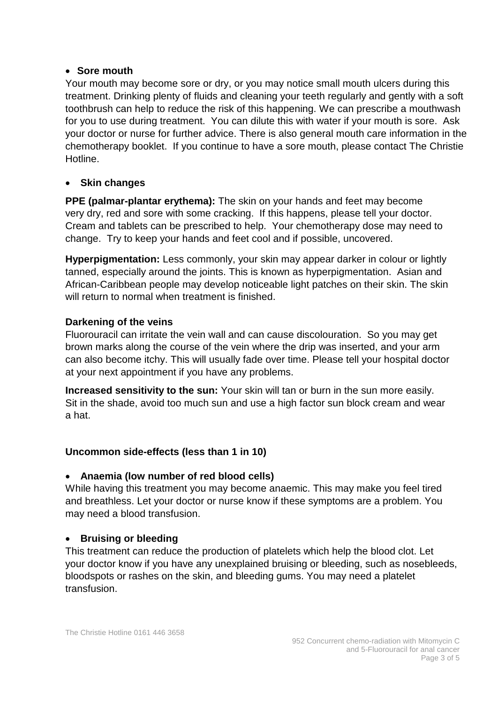#### • **Sore mouth**

Your mouth may become sore or dry, or you may notice small mouth ulcers during this treatment. Drinking plenty of fluids and cleaning your teeth regularly and gently with a soft toothbrush can help to reduce the risk of this happening. We can prescribe a mouthwash for you to use during treatment. You can dilute this with water if your mouth is sore. Ask your doctor or nurse for further advice. There is also general mouth care information in the chemotherapy booklet. If you continue to have a sore mouth, please contact The Christie Hotline.

#### • **Skin changes**

**PPE (palmar-plantar erythema):** The skin on your hands and feet may become very dry, red and sore with some cracking. If this happens, please tell your doctor. Cream and tablets can be prescribed to help. Your chemotherapy dose may need to change. Try to keep your hands and feet cool and if possible, uncovered.

**Hyperpigmentation:** Less commonly, your skin may appear darker in colour or lightly tanned, especially around the joints. This is known as hyperpigmentation. Asian and African-Caribbean people may develop noticeable light patches on their skin. The skin will return to normal when treatment is finished.

#### **Darkening of the veins**

Fluorouracil can irritate the vein wall and can cause discolouration. So you may get brown marks along the course of the vein where the drip was inserted, and your arm can also become itchy. This will usually fade over time. Please tell your hospital doctor at your next appointment if you have any problems.

**Increased sensitivity to the sun:** Your skin will tan or burn in the sun more easily. Sit in the shade, avoid too much sun and use a high factor sun block cream and wear a hat.

#### **Uncommon side-effects (less than 1 in 10)**

#### • **Anaemia (low number of red blood cells)**

While having this treatment you may become anaemic. This may make you feel tired and breathless. Let your doctor or nurse know if these symptoms are a problem. You may need a blood transfusion.

#### • **Bruising or bleeding**

This treatment can reduce the production of platelets which help the blood clot. Let your doctor know if you have any unexplained bruising or bleeding, such as nosebleeds, bloodspots or rashes on the skin, and bleeding gums. You may need a platelet transfusion.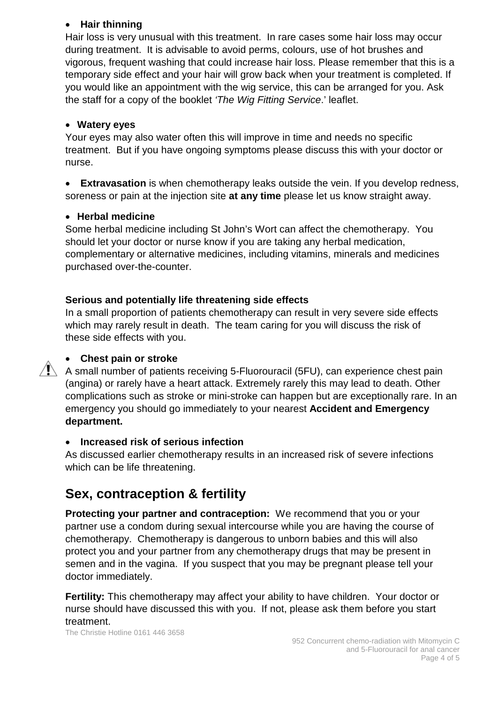#### • **Hair thinning**

Hair loss is very unusual with this treatment. In rare cases some hair loss may occur during treatment. It is advisable to avoid perms, colours, use of hot brushes and vigorous, frequent washing that could increase hair loss. Please remember that this is a temporary side effect and your hair will grow back when your treatment is completed. If you would like an appointment with the wig service, this can be arranged for you. Ask the staff for a copy of the booklet *'The Wig Fitting Service*.' leaflet.

#### • **Watery eyes**

Your eyes may also water often this will improve in time and needs no specific treatment. But if you have ongoing symptoms please discuss this with your doctor or nurse.

• **Extravasation** is when chemotherapy leaks outside the vein. If you develop redness, soreness or pain at the injection site **at any time** please let us know straight away.

#### • **Herbal medicine**

Some herbal medicine including St John's Wort can affect the chemotherapy. You should let your doctor or nurse know if you are taking any herbal medication, complementary or alternative medicines, including vitamins, minerals and medicines purchased over-the-counter.

## **Serious and potentially life threatening side effects**

In a small proportion of patients chemotherapy can result in very severe side effects which may rarely result in death. The team caring for you will discuss the risk of these side effects with you.

### • **Chest pain or stroke**

 $\sqrt{!}$  A small number of patients receiving 5-Fluorouracil (5FU), can experience chest pain (angina) or rarely have a heart attack. Extremely rarely this may lead to death. Other complications such as stroke or mini-stroke can happen but are exceptionally rare. In an emergency you should go immediately to your nearest **Accident and Emergency department.**

#### • **Increased risk of serious infection**

As discussed earlier chemotherapy results in an increased risk of severe infections which can be life threatening.

# **Sex, contraception & fertility**

**Protecting your partner and contraception:** We recommend that you or your partner use a condom during sexual intercourse while you are having the course of chemotherapy. Chemotherapy is dangerous to unborn babies and this will also protect you and your partner from any chemotherapy drugs that may be present in semen and in the vagina. If you suspect that you may be pregnant please tell your doctor immediately.

**Fertility:** This chemotherapy may affect your ability to have children. Your doctor or nurse should have discussed this with you. If not, please ask them before you start treatment.

The Christie Hotline 0161 446 3658